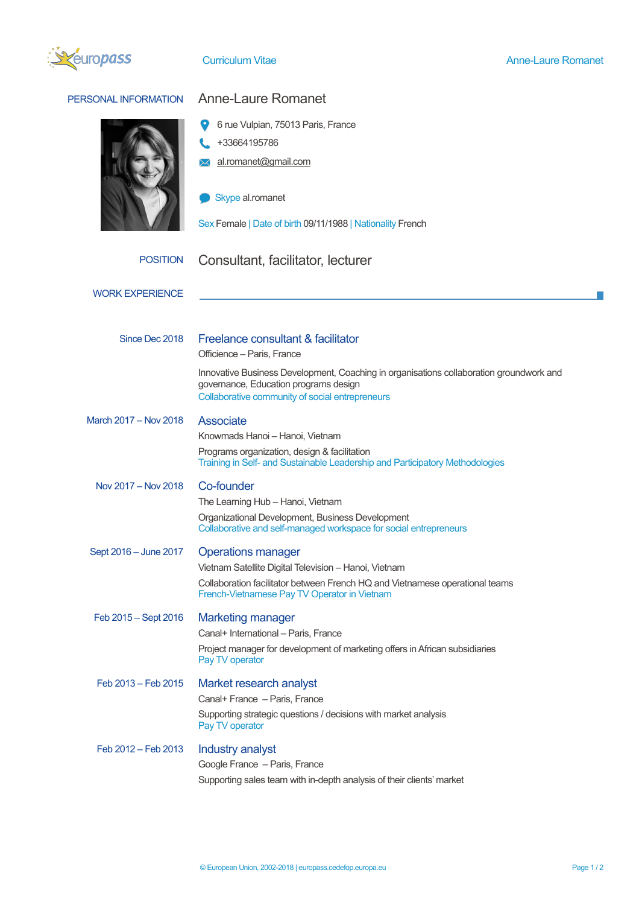

| PERSONAL INFORMATION   | <b>Anne-Laure Romanet</b>                                                                                                                                                           |  |  |  |  |
|------------------------|-------------------------------------------------------------------------------------------------------------------------------------------------------------------------------------|--|--|--|--|
|                        | 6 rue Vulpian, 75013 Paris, France<br>+33664195786<br>al.romanet@gmail.com                                                                                                          |  |  |  |  |
|                        | Skype al.romanet                                                                                                                                                                    |  |  |  |  |
|                        | Sex Female   Date of birth 09/11/1988   Nationality French                                                                                                                          |  |  |  |  |
| <b>POSITION</b>        | Consultant, facilitator, lecturer                                                                                                                                                   |  |  |  |  |
| <b>WORK EXPERIENCE</b> |                                                                                                                                                                                     |  |  |  |  |
| Since Dec 2018         | Freelance consultant & facilitator<br>Officience - Paris, France                                                                                                                    |  |  |  |  |
|                        | Innovative Business Development, Coaching in organisations collaboration groundwork and<br>governance, Education programs design<br>Collaborative community of social entrepreneurs |  |  |  |  |
| March 2017 - Nov 2018  | <b>Associate</b><br>Knowmads Hanoi - Hanoi, Vietnam                                                                                                                                 |  |  |  |  |
|                        | Programs organization, design & facilitation<br>Training in Self- and Sustainable Leadership and Participatory Methodologies                                                        |  |  |  |  |
| Nov 2017 - Nov 2018    | Co-founder<br>The Learning Hub - Hanoi, Vietnam                                                                                                                                     |  |  |  |  |
|                        | Organizational Development, Business Development<br>Collaborative and self-managed workspace for social entrepreneurs                                                               |  |  |  |  |
| Sept 2016 - June 2017  | <b>Operations manager</b><br>Vietnam Satellite Digital Television - Hanoi, Vietnam                                                                                                  |  |  |  |  |
|                        | Collaboration facilitator between French HQ and Vietnamese operational teams<br>French-Vietnamese Pay TV Operator in Vietnam                                                        |  |  |  |  |
| Feb 2015 - Sept 2016   | <b>Marketing manager</b><br>Canal+ International - Paris, France<br>Project manager for development of marketing offers in African subsidiaries                                     |  |  |  |  |
| Feb 2013 - Feb 2015    | Pay TV operator<br>Market research analyst                                                                                                                                          |  |  |  |  |
|                        | Canal+ France - Paris, France<br>Supporting strategic questions / decisions with market analysis<br>Pay TV operator                                                                 |  |  |  |  |
| Feb 2012 - Feb 2013    | Industry analyst<br>Google France - Paris, France<br>Supporting sales team with in-depth analysis of their clients' market                                                          |  |  |  |  |
|                        |                                                                                                                                                                                     |  |  |  |  |